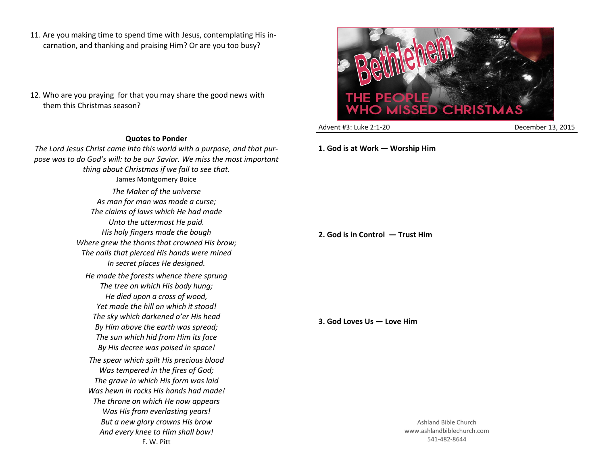- 11. Are you making time to spend time with Jesus, contemplating His incarnation, and thanking and praising Him? Or are you too busy?
- 12. Who are you praying for that you may share the good news with them this Christmas season?

## **Quotes to Ponder**

*The Lord Jesus Christ came into this world with a purpose, and that purpose was to do God's will: to be our Savior. We miss the most important thing about Christmas if we fail to see that.* James Montgomery Boice *The Maker of the universe As man for man was made a curse; The claims of laws which He had made Unto the uttermost He paid. His holy fingers made the bough Where grew the thorns that crowned His brow; The nails that pierced His hands were mined In secret places He designed. He made the forests whence there sprung The tree on which His body hung; He died upon a cross of wood, Yet made the hill on which it stood! The sky which darkened o'er His head By Him above the earth was spread; The sun which hid from Him its face By His decree was poised in space! The spear which spilt His precious blood Was tempered in the fires of God; The grave in which His form was laid Was hewn in rocks His hands had made! The throne on which He now appears Was His from everlasting years! But a new glory crowns His brow And every knee to Him shall bow!* F. W. Pitt



Advent #3: Luke 2:1-20 December 13, 2015

**1. God is at Work — Worship Him**

**2. God is in Control — Trust Him**

**3. God Loves Us — Love Him**

Ashland Bible Church www.ashlandbiblechurch.com 541-482-8644